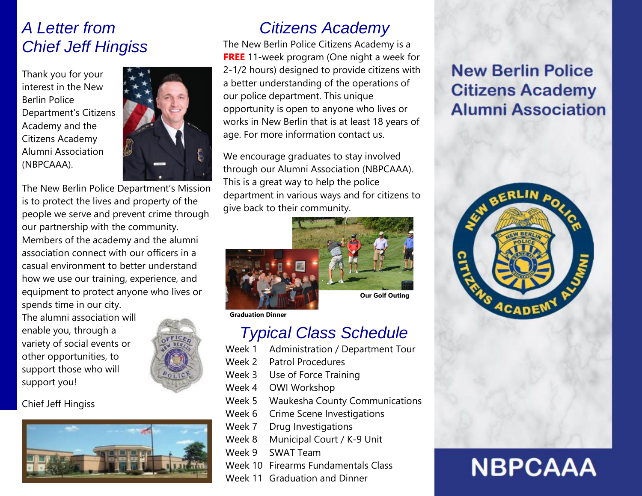### *A Letter from Chief Jeff Hingiss*

Thank you for your interest in the New Berlin Police Department's Citizens Academy and the Citizens Academy Alumni Association (NBPCAAA).



The New Berlin Police Department's Mission is to protect the lives and property of the people we serve and prevent crime through our partnership with the community. Members of the academy and the alumni association connect with our officers in a casual environment to better understand how we use our training, experience, and equipment to protect anyone who lives or spends time in our city.

The alumni association will enable you, through a variety of social events or other opportunities, to support those who will support you!

Chief Jeff Hingiss



# *Citizens Academy*

The New Berlin Police Citizens Academy is a **FREE** 11-week program (One night a week for 2-1/2 hours) designed to provide citizens with a better understanding of the operations of our police department. This unique opportunity is open to anyone who lives or works in New Berlin that is at least 18 years of age. For more information contact us.

We encourage graduates to stay involved through our Alumni Association (NBPCAAA). This is a great way to help the police department in various ways and for citizens to give back to their community.



**Graduation Dinner**

### *Typical Class Schedule*

- Week 1 Administration / Department Tour
- Week 2 Patrol Procedures
- Week 3 Use of Force Training
- Week 4 OWI Workshop
- Week 5 Waukesha County Communications
- Week 6 Crime Scene Investigations
- Week 7 Drug Investigations
- Week 8 Municipal Court / K-9 Unit
- Week 9 SWAT Team
- Week 10 Firearms Fundamentals Class
- Week 11 Graduation and Dinner

# **New Berlin Police Citizens Academy Alumni Association**



# **NBPCAAA**